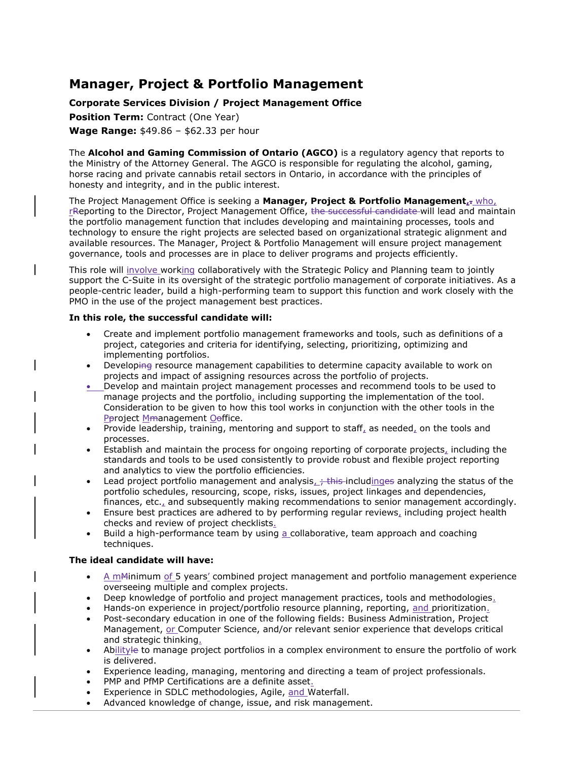# **Manager, Project & Portfolio Management**

## **Corporate Services Division / Project Management Office**

**Position Term: Contract (One Year) Wage Range:** \$49.86 – \$62.33 per hour

The **Alcohol and Gaming Commission of Ontario (AGCO)** is a regulatory agency that reports to the Ministry of the Attorney General. The AGCO is responsible for regulating the alcohol, gaming, horse racing and private cannabis retail sectors in Ontario, in accordance with the principles of honesty and integrity, and in the public interest.

The Project Management Office is seeking a **Manager, Project & Portfolio Management,.** who, rReporting to the Director, Project Management Office, the successful candidate will lead and maintain the portfolio management function that includes developing and maintaining processes, tools and technology to ensure the right projects are selected based on organizational strategic alignment and available resources. The Manager, Project & Portfolio Management will ensure project management governance, tools and processes are in place to deliver programs and projects efficiently.

This role will involve working collaboratively with the Strategic Policy and Planning team to jointly support the C-Suite in its oversight of the strategic portfolio management of corporate initiatives. As a people-centric leader, build a high-performing team to support this function and work closely with the PMO in the use of the project management best practices.

### **In this role, the successful candidate will:**

- Create and implement portfolio management frameworks and tools, such as definitions of a project, categories and criteria for identifying, selecting, prioritizing, optimizing and implementing portfolios.
- Developing resource management capabilities to determine capacity available to work on projects and impact of assigning resources across the portfolio of projects.
- Develop and maintain project management processes and recommend tools to be used to manage projects and the portfolio, including supporting the implementation of the tool. Consideration to be given to how this tool works in conjunction with the other tools in the Pproject Mmanagement Ooffice.
- Provide leadership, training, mentoring and support to staff, as needed, on the tools and processes.
- Establish and maintain the process for ongoing reporting of corporate projects, including the standards and tools to be used consistently to provide robust and flexible project reporting and analytics to view the portfolio efficiencies.
- Lead project portfolio management and analysis<sub>e</sub> this includinges analyzing the status of the portfolio schedules, resourcing, scope, risks, issues, project linkages and dependencies, finances, etc., and subsequently making recommendations to senior management accordingly.
- Ensure best practices are adhered to by performing regular reviews, including project health checks and review of project checklists.
- Build a high-performance team by using a collaborative, team approach and coaching techniques.

## **The ideal candidate will have:**

- $\bullet$  A m $M$ inimum of 5 years' combined project management and portfolio management experience overseeing multiple and complex projects.
- Deep knowledge of portfolio and project management practices, tools and methodologies.
- Hands-on experience in project/portfolio resource planning, reporting, and prioritization.
- Post-secondary education in one of the following fields: Business Administration, Project Management, or Computer Science, and/or relevant senior experience that develops critical and strategic thinking.
- Abilityle to manage project portfolios in a complex environment to ensure the portfolio of work is delivered.
- Experience leading, managing, mentoring and directing a team of project professionals.
- PMP and PfMP Certifications are a definite asset.
- Experience in SDLC methodologies, Agile, and Waterfall.
- Advanced knowledge of change, issue, and risk management.